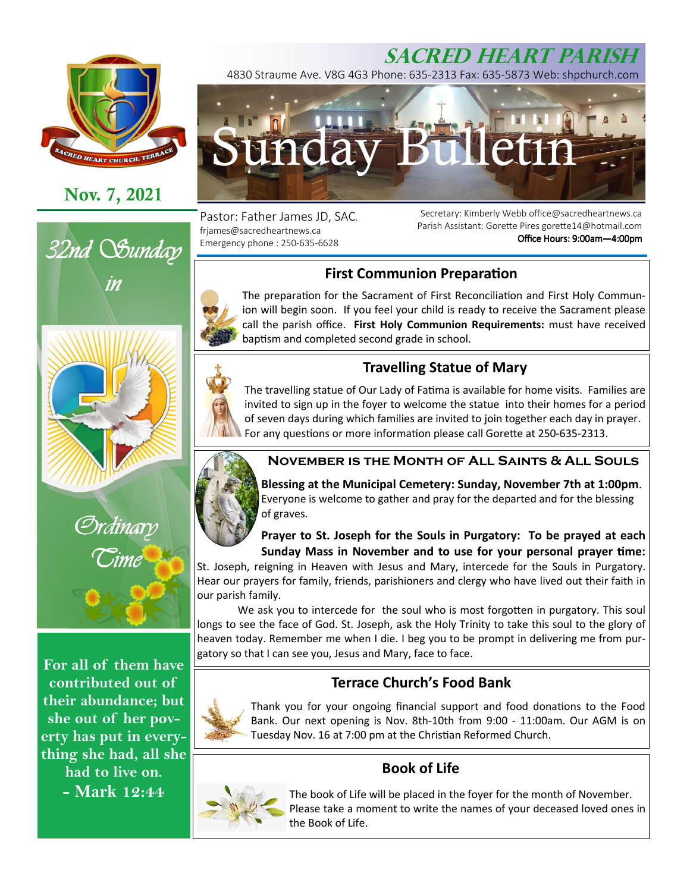

# **Nov. 7, 2021**





**For all of them have contributed out of their abundance; but she out of her poverty has put in everything she had, all she had to live on. - Mark 12:44** 



4830 Straume Ave. V8G 4G3 Phone: 635-2313 Fax: 635-5873 Web: shpchurch.com



Pastor: Father James JD, SAC. frjames@sacredheartnews.ca Emergency phone : 250-635-6628

Secretary: Kimberly Webb office@sacredheartnews.ca Parish Assistant: Gorette Pires gorette14@hotmail.com Office Hours: 9:00am-4:00pm

## **First Communion Preparation**

The preparation for the Sacrament of First Reconciliation and First Holy Communion will begin soon. If you feel your child is ready to receive the Sacrament please call the parish office. **First Holy Communion Requirements:** must have received baptism and completed second grade in school.

## **Travelling Statue of Mary**

The travelling statue of Our Lady of Fatima is available for home visits. Families are invited to sign up in the foyer to welcome the statue into their homes for a period of seven days during which families are invited to join together each day in prayer. For any questions or more information please call Gorette at 250-635-2313.



**Blessing at the Municipal Cemetery: Sunday, November 7th at 1:00pm**. Everyone is welcome to gather and pray for the departed and for the blessing of graves.

**Prayer to St. Joseph for the Souls in Purgatory: To be prayed at each**  Sunday Mass in November and to use for your personal prayer time:

St. Joseph, reigning in Heaven with Jesus and Mary, intercede for the Souls in Purgatory. Hear our prayers for family, friends, parishioners and clergy who have lived out their faith in our parish family.

We ask you to intercede for the soul who is most forgotten in purgatory. This soul longs to see the face of God. St. Joseph, ask the Holy Trinity to take this soul to the glory of heaven today. Remember me when I die. I beg you to be prompt in delivering me from purgatory so that I can see you, Jesus and Mary, face to face.

## **Terrace Church's Food Bank**

Thank you for your ongoing financial support and food donations to the Food Bank. Our next opening is Nov. 8th-10th from 9:00 - 11:00am. Our AGM is on Tuesday Nov. 16 at 7:00 pm at the Christian Reformed Church.

## **Book of Life**



The book of Life will be placed in the foyer for the month of November. Please take a moment to write the names of your deceased loved ones in the Book of Life.